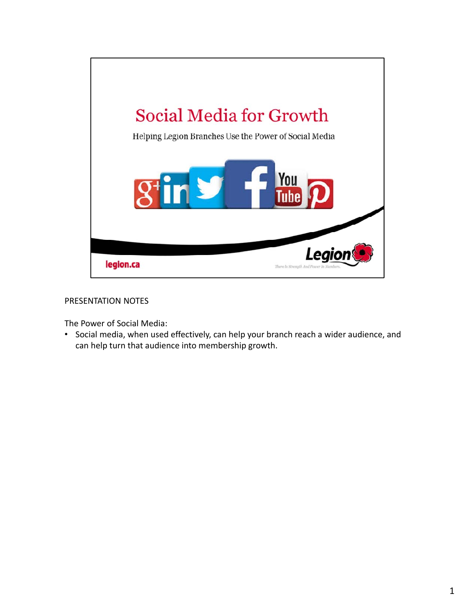

## PRESENTATION NOTES

The Power of Social Media:

• Social media, when used effectively, can help your branch reach a wider audience, and can help turn that audience into membership growth.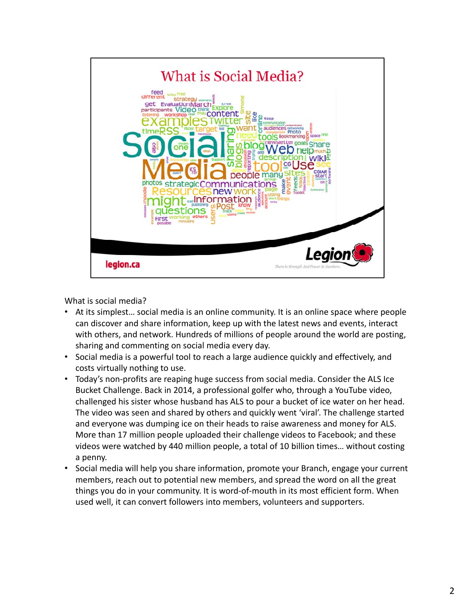

What is social media?

- At its simplest… social media is an online community. It is an online space where people can discover and share information, keep up with the latest news and events, interact with others, and network. Hundreds of millions of people around the world are posting, sharing and commenting on social media every day.
- Social media is a powerful tool to reach a large audience quickly and effectively, and costs virtually nothing to use.
- Today's non-profits are reaping huge success from social media. Consider the ALS Ice Bucket Challenge. Back in 2014, a professional golfer who, through a YouTube video, challenged his sister whose husband has ALS to pour a bucket of ice water on her head. The video was seen and shared by others and quickly went 'viral'. The challenge started and everyone was dumping ice on their heads to raise awareness and money for ALS. More than 17 million people uploaded their challenge videos to Facebook; and these videos were watched by 440 million people, a total of 10 billion times… without costing a penny.
- Social media will help you share information, promote your Branch, engage your current members, reach out to potential new members, and spread the word on all the great things you do in your community. It is word-of-mouth in its most efficient form. When used well, it can convert followers into members, volunteers and supporters.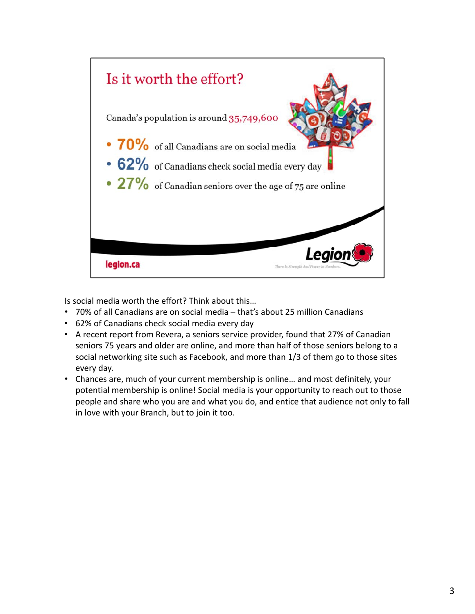

Is social media worth the effort? Think about this…

- 70% of all Canadians are on social media that's about 25 million Canadians
- 62% of Canadians check social media every day
- A recent report from Revera, a seniors service provider, found that 27% of Canadian seniors 75 years and older are online, and more than half of those seniors belong to a social networking site such as Facebook, and more than 1/3 of them go to those sites every day.
- Chances are, much of your current membership is online… and most definitely, your potential membership is online! Social media is your opportunity to reach out to those people and share who you are and what you do, and entice that audience not only to fall in love with your Branch, but to join it too.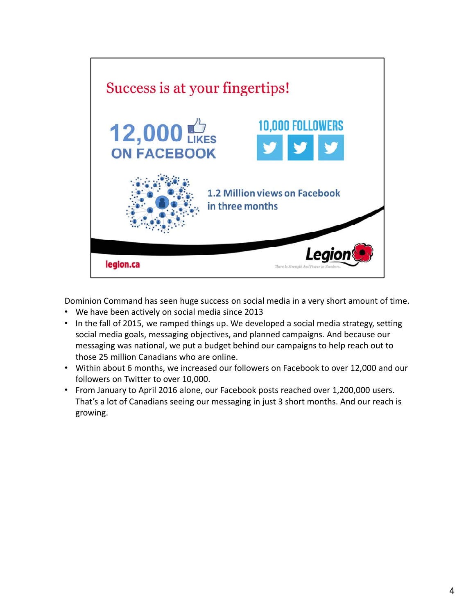

Dominion Command has seen huge success on social media in a very short amount of time.

- We have been actively on social media since 2013
- In the fall of 2015, we ramped things up. We developed a social media strategy, setting social media goals, messaging objectives, and planned campaigns. And because our messaging was national, we put a budget behind our campaigns to help reach out to those 25 million Canadians who are online.
- Within about 6 months, we increased our followers on Facebook to over 12,000 and our followers on Twitter to over 10,000.
- From January to April 2016 alone, our Facebook posts reached over 1,200,000 users. That's a lot of Canadians seeing our messaging in just 3 short months. And our reach is growing.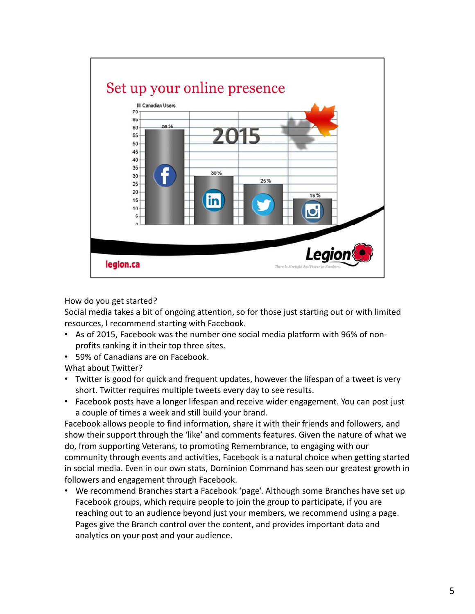

How do you get started?

Social media takes a bit of ongoing attention, so for those just starting out or with limited resources, I recommend starting with Facebook.

- As of 2015, Facebook was the number one social media platform with 96% of nonprofits ranking it in their top three sites.
- 59% of Canadians are on Facebook.

What about Twitter?

- Twitter is good for quick and frequent updates, however the lifespan of a tweet is very short. Twitter requires multiple tweets every day to see results.
- Facebook posts have a longer lifespan and receive wider engagement. You can post just a couple of times a week and still build your brand.

Facebook allows people to find information, share it with their friends and followers, and show their support through the 'like' and comments features. Given the nature of what we do, from supporting Veterans, to promoting Remembrance, to engaging with our community through events and activities, Facebook is a natural choice when getting started in social media. Even in our own stats, Dominion Command has seen our greatest growth in followers and engagement through Facebook.

• We recommend Branches start a Facebook 'page'. Although some Branches have set up Facebook groups, which require people to join the group to participate, if you are reaching out to an audience beyond just your members, we recommend using a page. Pages give the Branch control over the content, and provides important data and analytics on your post and your audience.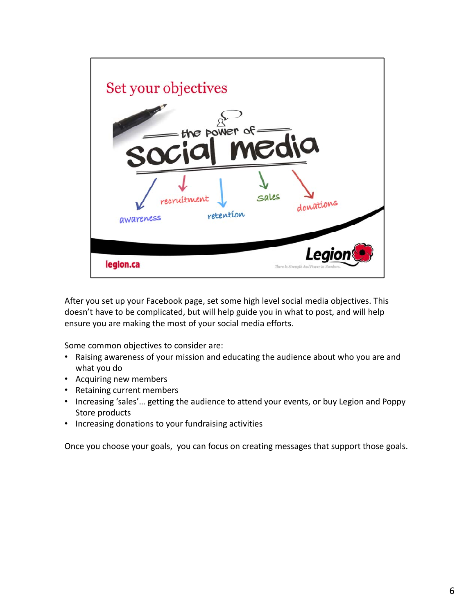

After you set up your Facebook page, set some high level social media objectives. This doesn't have to be complicated, but will help guide you in what to post, and will help ensure you are making the most of your social media efforts.

Some common objectives to consider are:

- Raising awareness of your mission and educating the audience about who you are and what you do
- Acquiring new members
- Retaining current members
- Increasing 'sales'… getting the audience to attend your events, or buy Legion and Poppy Store products
- Increasing donations to your fundraising activities

Once you choose your goals, you can focus on creating messages that support those goals.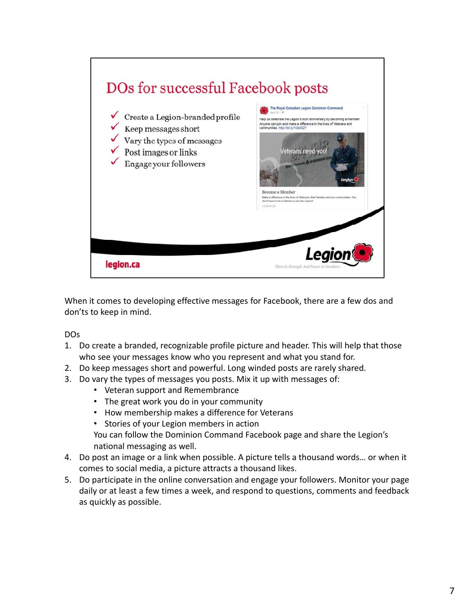

When it comes to developing effective messages for Facebook, there are a few dos and don'ts to keep in mind.

DOs

- 1. Do create a branded, recognizable profile picture and header. This will help that those who see your messages know who you represent and what you stand for.
- 2. Do keep messages short and powerful. Long winded posts are rarely shared.
- 3. Do vary the types of messages you posts. Mix it up with messages of:
	- Veteran support and Remembrance
	- The great work you do in your community
	- How membership makes a difference for Veterans
	- Stories of your Legion members in action
	- You can follow the Dominion Command Facebook page and share the Legion's national messaging as well.
- 4. Do post an image or a link when possible. A picture tells a thousand words… or when it comes to social media, a picture attracts a thousand likes.
- 5. Do participate in the online conversation and engage your followers. Monitor your page daily or at least a few times a week, and respond to questions, comments and feedback as quickly as possible.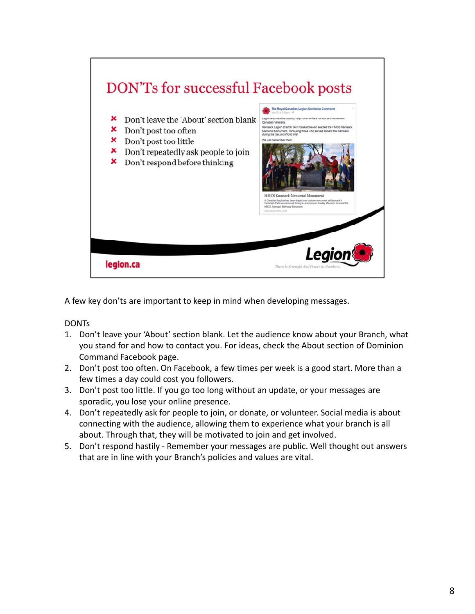

A few key don'ts are important to keep in mind when developing messages.

**DONTs** 

- 1. Don't leave your 'About' section blank. Let the audience know about your Branch, what you stand for and how to contact you. For ideas, check the About section of Dominion Command Facebook page.
- 2. Don't post too often. On Facebook, a few times per week is a good start. More than a few times a day could cost you followers.
- 3. Don't post too little. If you go too long without an update, or your messages are sporadic, you lose your online presence.
- 4. Don't repeatedly ask for people to join, or donate, or volunteer. Social media is about connecting with the audience, allowing them to experience what your branch is all about. Through that, they will be motivated to join and get involved.
- 5. Don't respond hastily Remember your messages are public. Well thought out answers that are in line with your Branch's policies and values are vital.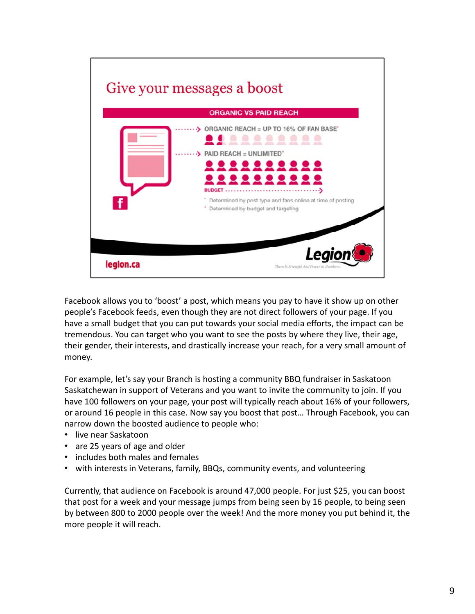

Facebook allows you to 'boost' a post, which means you pay to have it show up on other people's Facebook feeds, even though they are not direct followers of your page. If you have a small budget that you can put towards your social media efforts, the impact can be tremendous. You can target who you want to see the posts by where they live, their age, their gender, their interests, and drastically increase your reach, for a very small amount of money.

For example, let's say your Branch is hosting a community BBQ fundraiser in Saskatoon Saskatchewan in support of Veterans and you want to invite the community to join. If you have 100 followers on your page, your post will typically reach about 16% of your followers, or around 16 people in this case. Now say you boost that post… Through Facebook, you can narrow down the boosted audience to people who:

- live near Saskatoon
- are 25 years of age and older
- includes both males and females
- with interests in Veterans, family, BBQs, community events, and volunteering

Currently, that audience on Facebook is around 47,000 people. For just \$25, you can boost that post for a week and your message jumps from being seen by 16 people, to being seen by between 800 to 2000 people over the week! And the more money you put behind it, the more people it will reach.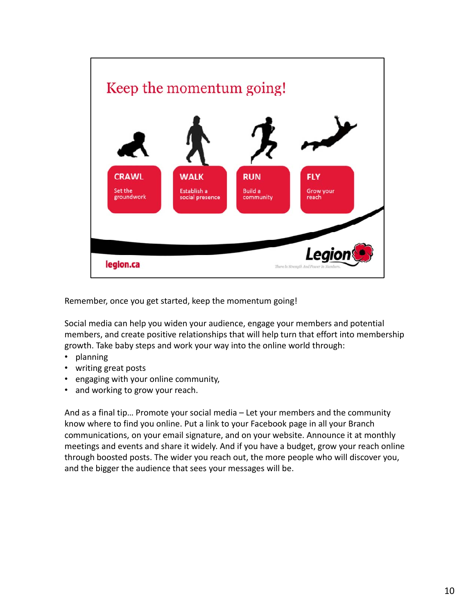

Remember, once you get started, keep the momentum going!

Social media can help you widen your audience, engage your members and potential members, and create positive relationships that will help turn that effort into membership growth. Take baby steps and work your way into the online world through:

- planning
- writing great posts
- engaging with your online community,
- and working to grow your reach.

And as a final tip… Promote your social media – Let your members and the community know where to find you online. Put a link to your Facebook page in all your Branch communications, on your email signature, and on your website. Announce it at monthly meetings and events and share it widely. And if you have a budget, grow your reach online through boosted posts. The wider you reach out, the more people who will discover you, and the bigger the audience that sees your messages will be.